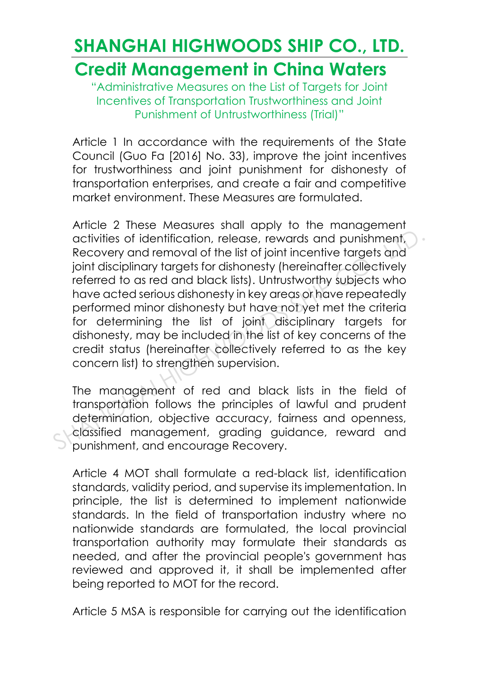### **SHANGHAI HIGHWOODS SHIP CO., LTD. Credit Management in China Waters**

"Administrative Measures on the List of Targets for Joint Incentives of Transportation Trustworthiness and Joint Punishment of Untrustworthiness (Trial)"

Article 1 In accordance with the requirements of the State Council (Guo Fa [2016] No. 33), improve the joint incentives for trustworthiness and joint punishment for dishonesty of transportation enterprises, and create a fair and competitive market environment. These Measures are formulated.

Article 2 These Measures shall apply to the management activities of identification, release, rewards and punishment, Recovery and removal of the list of joint incentive targets and joint disciplinary targets for dishonesty (hereinafter collectively referred to as red and black lists). Untrustworthy subjects who have acted serious dishonesty in key areas or have repeatedly performed minor dishonesty but have not yet met the criteria for determining the list of joint disciplinary targets for dishonesty, may be included in the list of key concerns of the credit status (hereinafter collectively referred to as the key concern list) to strengthen supervision. activities of identification, release, rewards and punishment,<br>Recovery and removal of the list of joint incentive targets and<br>joint disciplinary targets for dishonesty (hereinafter collectively<br>referred to as red and blac

The management of red and black lists in the field of transportation follows the principles of lawful and prudent determination, objective accuracy, fairness and openness, classified management, grading guidance, reward and punishment, and encourage Recovery.

Article 4 MOT shall formulate a red-black list, identification standards, validity period, and supervise its implementation. In principle, the list is determined to implement nationwide standards. In the field of transportation industry where no nationwide standards are formulated, the local provincial transportation authority may formulate their standards as needed, and after the provincial people's government has reviewed and approved it, it shall be implemented after being reported to MOT for the record.

Article 5 MSA is responsible for carrying out the identification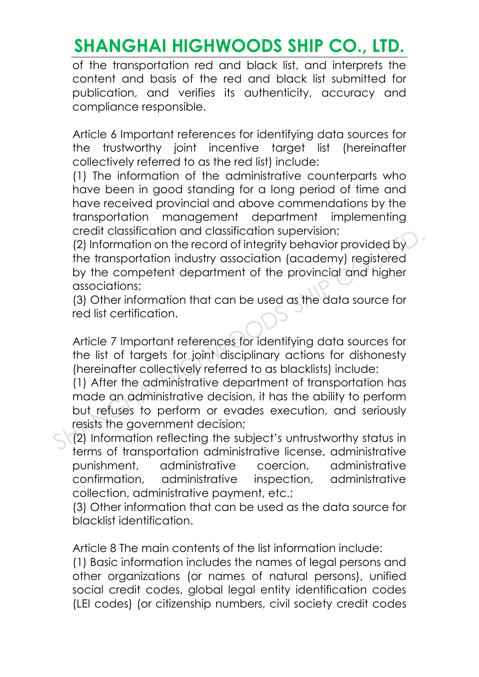of the transportation red and black list, and interprets the content and basis of the red and black list submitted for publication, and verifies its authenticity, accuracy and compliance responsible.

Article 6 Important references for identifying data sources for the trustworthy joint incentive target list (hereinafter collectively referred to as the red list) include:

(1) The information of the administrative counterparts who have been in good standing for a long period of time and have received provincial and above commendations by the transportation management department implementing credit classification and classification supervision;

(2) Information on the record of integrity behavior provided by the transportation industry association (academy) registered by the competent department of the provincial and higher associations; creair classification and classification supervision;<br>
(2) Information on the record of integrity behavior provided by<br>
the transportation industry association (academy) registered<br>
by the competent department of the provi

(3) Other information that can be used as the data source for red list certification.

Article 7 Important references for identifying data sources for the list of targets for joint disciplinary actions for dishonesty (hereinafter collectively referred to as blacklists) include:

(1) After the administrative department of transportation has made an administrative decision, it has the ability to perform but refuses to perform or evades execution, and seriously resists the government decision;

(2) Information reflecting the subject's untrustworthy status in terms of transportation administrative license, administrative punishment, administrative coercion, administrative confirmation, administrative inspection, administrative collection, administrative payment, etc.;

(3) Other information that can be used as the data source for blacklist identification.

Article 8 The main contents of the list information include:

(1) Basic information includes the names of legal persons and other organizations (or names of natural persons), unified social credit codes, global legal entity identification codes (LEI codes) (or citizenship numbers, civil society credit codes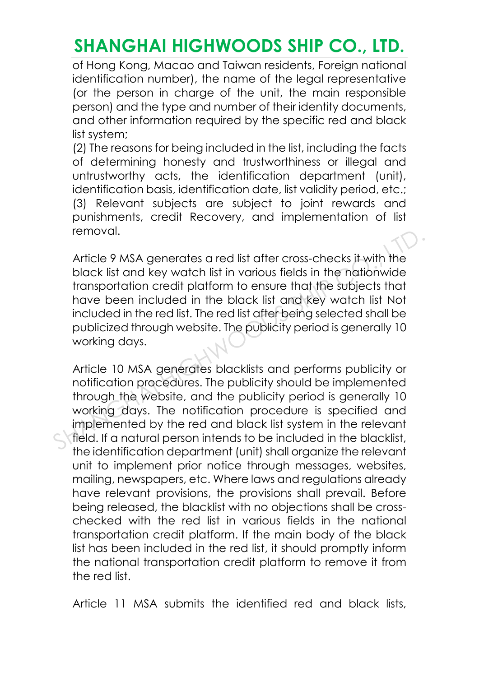of Hong Kong, Macao and Taiwan residents, Foreign national identification number), the name of the legal representative (or the person in charge of the unit, the main responsible person) and the type and number of their identity documents, and other information required by the specific red and black list system;

(2) The reasons for being included in the list, including the facts of determining honesty and trustworthiness or illegal and untrustworthy acts, the identification department (unit), identification basis, identification date, list validity period, etc.; (3) Relevant subjects are subject to joint rewards and punishments, credit Recovery, and implementation of list removal.

Article 9 MSA generates a red list after cross-checks it with the black list and key watch list in various fields in the nationwide transportation credit platform to ensure that the subjects that have been included in the black list and key watch list Not included in the red list. The red list after being selected shall be publicized through website. The publicity period is generally 10 working days. removal.<br>
Article 9 MSA generates a red list after cross-checks it with the<br>
black list and key watch list in various fields in the nationwide<br>
transportation credit platform to ensure that the subjects that<br>
have been inc

Article 10 MSA generates blacklists and performs publicity or notification procedures. The publicity should be implemented through the website, and the publicity period is generally 10 working days. The notification procedure is specified and implemented by the red and black list system in the relevant field. If a natural person intends to be included in the blacklist, the identification department (unit) shall organize the relevant unit to implement prior notice through messages, websites, mailing, newspapers, etc. Where laws and regulations already have relevant provisions, the provisions shall prevail. Before being released, the blacklist with no objections shall be crosschecked with the red list in various fields in the national transportation credit platform. If the main body of the black list has been included in the red list, it should promptly inform the national transportation credit platform to remove it from the red list.

Article 11 MSA submits the identified red and black lists,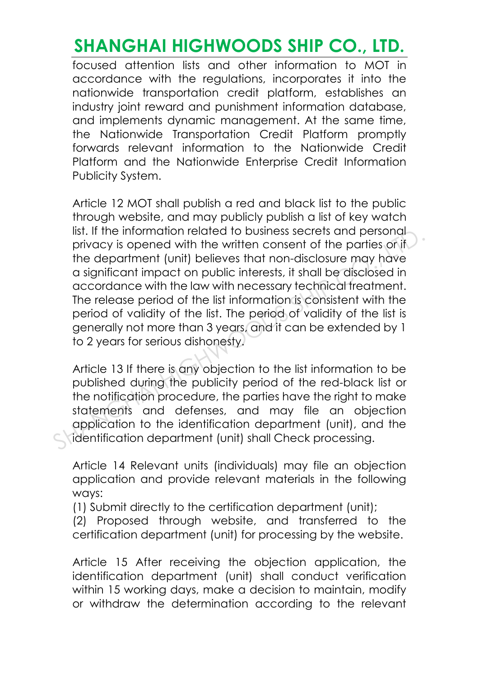focused attention lists and other information to MOT in accordance with the regulations, incorporates it into the nationwide transportation credit platform, establishes an industry joint reward and punishment information database, and implements dynamic management. At the same time, the Nationwide Transportation Credit Platform promptly forwards relevant information to the Nationwide Credit Platform and the Nationwide Enterprise Credit Information Publicity System.

Article 12 MOT shall publish a red and black list to the public through website, and may publicly publish a list of key watch list. If the information related to business secrets and personal privacy is opened with the written consent of the parties or if the department (unit) believes that non-disclosure may have a significant impact on public interests, it shall be disclosed in accordance with the law with necessary technical treatment. The release period of the list information is consistent with the period of validity of the list. The period of validity of the list is generally not more than 3 years, and it can be extended by 1 to 2 years for serious dishonesty. IIST. IT the Information related to business secrets and personal<br>privacy is opened with the written consent of the parties or if<br>the department (unit) believes that non-disclosure may have<br>a significant impact on public i

Article 13 If there is any objection to the list information to be published during the publicity period of the red-black list or the notification procedure, the parties have the right to make statements and defenses, and may file an objection application to the identification department (unit), and the identification department (unit) shall Check processing.

Article 14 Relevant units (individuals) may file an objection application and provide relevant materials in the following ways:

(1) Submit directly to the certification department (unit);

(2) Proposed through website, and transferred to the certification department (unit) for processing by the website.

Article 15 After receiving the objection application, the identification department (unit) shall conduct verification within 15 working days, make a decision to maintain, modify or withdraw the determination according to the relevant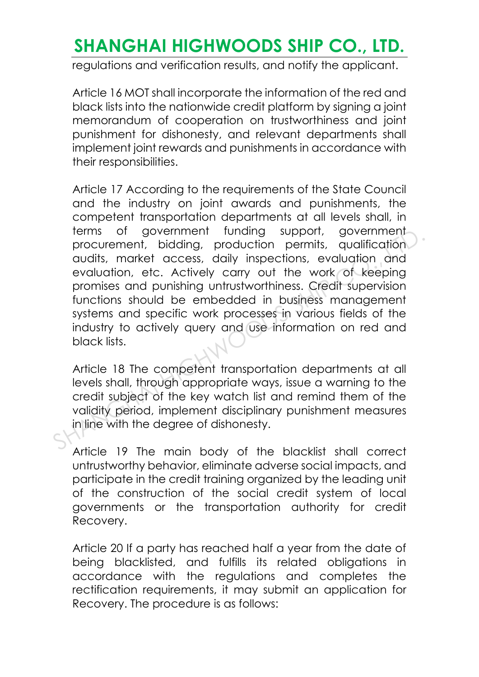regulations and verification results, and notify the applicant.

Article 16 MOT shall incorporate the information of the red and black lists into the nationwide credit platform by signing a joint memorandum of cooperation on trustworthiness and joint punishment for dishonesty, and relevant departments shall implement joint rewards and punishments in accordance with their responsibilities.

Article 17 According to the requirements of the State Council and the industry on joint awards and punishments, the competent transportation departments at all levels shall, in terms of government funding support, government procurement, bidding, production permits, qualification audits, market access, daily inspections, evaluation and evaluation, etc. Actively carry out the work of keeping promises and punishing untrustworthiness. Credit supervision functions should be embedded in business management systems and specific work processes in various fields of the industry to actively query and use information on red and black lists. rems of government tunding support, government<br>procurement, bidding, production permits, qualification<br>audits, market access, daily inspections, evaluation and<br>evaluation, etc. Actively carry out the work of keeping<br>promis

Article 18 The competent transportation departments at all levels shall, through appropriate ways, issue a warning to the credit subject of the key watch list and remind them of the validity period, implement disciplinary punishment measures in line with the degree of dishonesty.

Article 19 The main body of the blacklist shall correct untrustworthy behavior, eliminate adverse social impacts, and participate in the credit training organized by the leading unit of the construction of the social credit system of local governments or the transportation authority for credit Recovery.

Article 20 If a party has reached half a year from the date of being blacklisted, and fulfills its related obligations in accordance with the regulations and completes the rectification requirements, it may submit an application for Recovery. The procedure is as follows: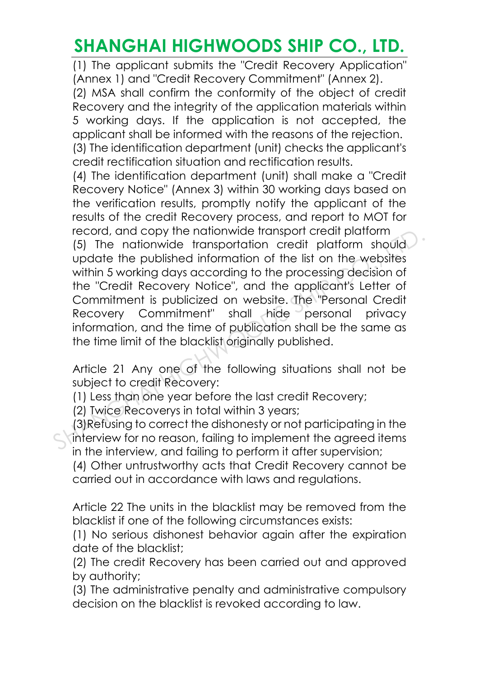(1) The applicant submits the "Credit Recovery Application" (Annex 1) and "Credit Recovery Commitment" (Annex 2).

(2) MSA shall confirm the conformity of the object of credit Recovery and the integrity of the application materials within 5 working days. If the application is not accepted, the applicant shall be informed with the reasons of the rejection. (3) The identification department (unit) checks the applicant's credit rectification situation and rectification results.

(4) The identification department (unit) shall make a "Credit Recovery Notice" (Annex 3) within 30 working days based on the verification results, promptly notify the applicant of the results of the credit Recovery process, and report to MOT for record, and copy the nationwide transport credit platform (5) The nationwide transportation credit platform should update the published information of the list on the websites within 5 working days according to the processing decision of the "Credit Recovery Notice", and the applicant's Letter of Commitment is publicized on website. The "Personal Credit Recovery Commitment" shall hide personal privacy information, and the time of publication shall be the same as the time limit of the blacklist originally published. record, and copy the nationwide transport creatr platform<br>
(5) The nationwide transportation credit platform should<br>
update the published information of the list on the websites<br>
within 5 working days according to the proc

Article 21 Any one of the following situations shall not be subject to credit Recovery:

(1) Less than one year before the last credit Recovery;

(2) Twice Recoverys in total within 3 years;

(3)Refusing to correct the dishonesty or not participating in the interview for no reason, failing to implement the agreed items in the interview, and failing to perform it after supervision;

(4) Other untrustworthy acts that Credit Recovery cannot be carried out in accordance with laws and regulations.

Article 22 The units in the blacklist may be removed from the blacklist if one of the following circumstances exists:

(1) No serious dishonest behavior again after the expiration date of the blacklist;

(2) The credit Recovery has been carried out and approved by authority;

(3) The administrative penalty and administrative compulsory decision on the blacklist is revoked according to law.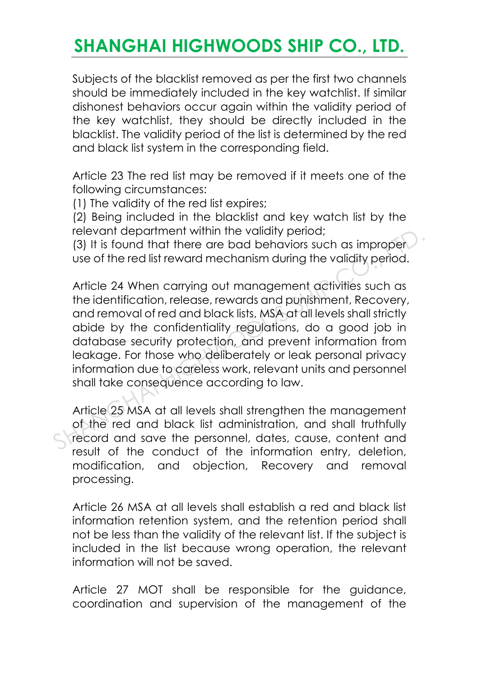Subjects of the blacklist removed as per the first two channels should be immediately included in the key watchlist. If similar dishonest behaviors occur again within the validity period of the key watchlist, they should be directly included in the blacklist. The validity period of the list is determined by the red and black list system in the corresponding field.

Article 23 The red list may be removed if it meets one of the following circumstances:

(1) The validity of the red list expires;

(2) Being included in the blacklist and key watch list by the relevant department within the validity period;

(3) It is found that there are bad behaviors such as improper use of the red list reward mechanism during the validity period.

Article 24 When carrying out management activities such as the identification, release, rewards and punishment, Recovery, and removal of red and black lists, MSA at all levels shall strictly abide by the confidentiality regulations, do a good job in database security protection, and prevent information from leakage. For those who deliberately or leak personal privacy information due to careless work, relevant units and personnel shall take consequence according to law. relevant department within the validity period;<br>
(3) It is found that there are bad behaviors such as improper<br>
use of the red list reward mechanism during the validity period.<br>
Article 24 When carrying out management acti

Article 25 MSA at all levels shall strengthen the management of the red and black list administration, and shall truthfully record and save the personnel, dates, cause, content and result of the conduct of the information entry, deletion, modification, and objection, Recovery and removal processing.

Article 26 MSA at all levels shall establish a red and black list information retention system, and the retention period shall not be less than the validity of the relevant list. If the subject is included in the list because wrong operation, the relevant information will not be saved.

Article 27 MOT shall be responsible for the guidance, coordination and supervision of the management of the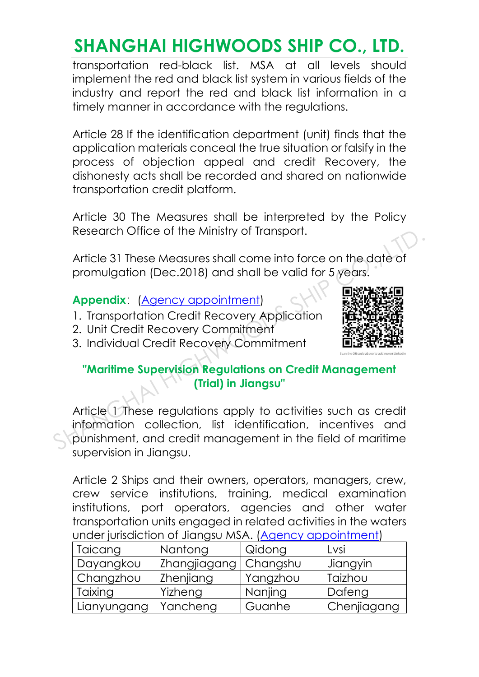transportation red-black list. MSA at all levels should implement the red and black list system in various fields of the industry and report the red and black list information in a timely manner in accordance with the regulations.

Article 28 If the identification department (unit) finds that the application materials conceal the true situation or falsify in the process of objection appeal and credit Recovery, the dishonesty acts shall be recorded and shared on nationwide transportation credit platform.

Article 30 The Measures shall be interpreted by the Policy Research Office of the Ministry of Transport.

Article 31 These Measures shall come into force on the date of promulgation (Dec.2018) and shall be valid for 5 years.

**Appendix:** (Agency appointment)

- 1. Transportation Credit Recovery Application
- 2. Unit Credit Recovery Commitment
- 3. Individual Credit Recovery Commitment



#### **"Maritime Supervision Regulations on Credit Management (Trial) in Jiangsu"**

Article 1 These regulations apply to activities such as credit information collection, list identification, incentives and punishment, and credit management in the field of maritime supervision in Jiangsu. Research Office of the Ministry of Iransport.<br>
Article 31 These Measures shall come into force on the date of<br>
promulgation (Dec.2018) and shall be valid for 5 years.<br>
Appendix: (Agency appointment)<br>
1. Transportation Cred

Article 2 Ships and their owners, operators, managers, crew, crew service institutions, training, medical examination institutions, port operators, agencies and other water transportation units engaged in related activities in the waters under jurisdiction of Jiangsu MSA. [\(Agency appointment\)](http://www.shorefacility.com/Annual.pdf)

| Taicang                | Nantong      | Qidong   | Lvsi        |
|------------------------|--------------|----------|-------------|
| Dayangkou              | Zhangjiagang | Changshu | Jiangyin    |
| <sup>I</sup> Changzhou | Zhenjiang    | Yangzhou | Taizhou     |
| Taixing                | Yizheng      | Nanjing  | Dafeng      |
| Lianyungang            | Yancheng     | Guanhe   | Chenjiagang |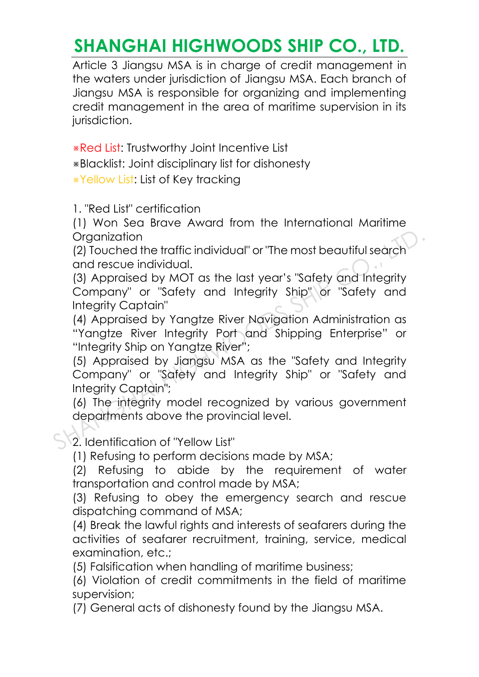Article 3 Jiangsu MSA is in charge of credit management in the waters under jurisdiction of Jiangsu MSA. Each branch of Jiangsu MSA is responsible for organizing and implementing credit management in the area of maritime supervision in its jurisdiction.

※Red List: Trustworthy Joint Incentive List

※Blacklist: Joint disciplinary list for dishonesty

※Yellow List: List of Key tracking

1. "Red List" certification

(1) Won Sea Brave Award from the International Maritime **Organization** 

(2) Touched the traffic individual" or "The most beautiful search and rescue individual.

(3) Appraised by MOT as the last year's "Safety and Integrity Company" or "Safety and Integrity Ship" or "Safety and Integrity Captain"

(4) Appraised by Yangtze River Navigation Administration as "Yangtze River Integrity Port and Shipping Enterprise" or "Integrity Ship on Yangtze River"; Organization<br>
(2) Touched the traffic individual" or "The most beautiful search<br>
and rescue individual.<br>
(3) Appraised by MOT as the last year's "Safety and Integrity<br>
Company" or "Safety and Integrity Ship" or "Safety and

(5) Appraised by Jiangsu MSA as the "Safety and Integrity Company" or "Safety and Integrity Ship" or "Safety and Integrity Captain";

(6) The integrity model recognized by various government departments above the provincial level.

2. Identification of "Yellow List"

(1) Refusing to perform decisions made by MSA;

(2) Refusing to abide by the requirement of water transportation and control made by MSA;

(3) Refusing to obey the emergency search and rescue dispatching command of MSA;

(4) Break the lawful rights and interests of seafarers during the activities of seafarer recruitment, training, service, medical examination, etc.;

(5) Falsification when handling of maritime business;

(6) Violation of credit commitments in the field of maritime supervision;

(7) General acts of dishonesty found by the Jiangsu MSA.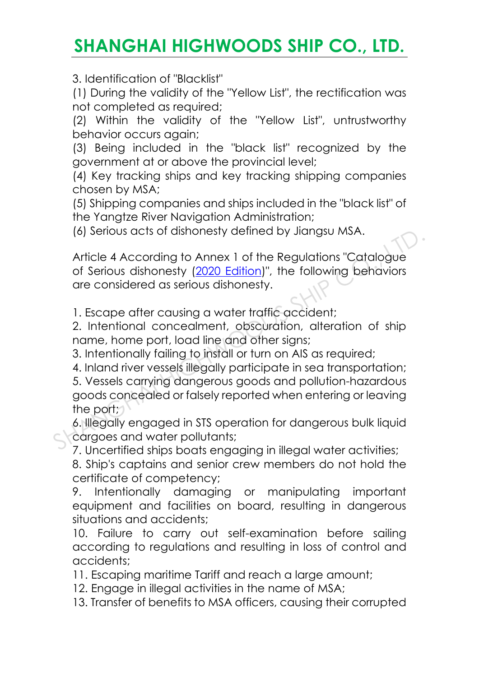3. Identification of "Blacklist"

(1) During the validity of the "Yellow List", the rectification was not completed as required;

(2) Within the validity of the "Yellow List", untrustworthy behavior occurs again;

(3) Being included in the "black list" recognized by the government at or above the provincial level;

(4) Key tracking ships and key tracking shipping companies chosen by MSA;

(5) Shipping companies and ships included in the "black list" of the Yangtze River Navigation Administration;

(6) Serious acts of dishonesty defined by Jiangsu MSA.

Article 4 According to Annex 1 of the Regulations "Catalogue of Serious dishonesty (2020 Edition)", the following behaviors are considered as serious dishonesty.

1. Escape after causing a water traffic accident;

2. Intentional concealment, obscuration, alteration of ship name, home port, load line and other signs;

3. Intentionally failing to install or turn on AIS as required;

4. Inland river vessels illegally participate in sea transportation; 5. Vessels carrying dangerous goods and pollution-hazardous goods concealed or falsely reported when entering or leaving the port; (6) serious acts of aisnonesty defined by Jiangsu MSA.<br>
Article 4 According to Annex 1 of the Regulations "Catalogue<br>
of Serious dishonesty (2020 Edition)", the following behaviors<br>
are considered as serious dishonesty.<br>
1

6. Illegally engaged in STS operation for dangerous bulk liquid cargoes and water pollutants;

7. Uncertified ships boats engaging in illegal water activities;

8. Ship's captains and senior crew members do not hold the certificate of competency;

9. Intentionally damaging or manipulating important equipment and facilities on board, resulting in dangerous situations and accidents;

10. Failure to carry out self-examination before sailing according to regulations and resulting in loss of control and accidents;

11. Escaping maritime Tariff and reach a large amount;

12. Engage in illegal activities in the name of MSA;

13. Transfer of benefits to MSA officers, causing their corrupted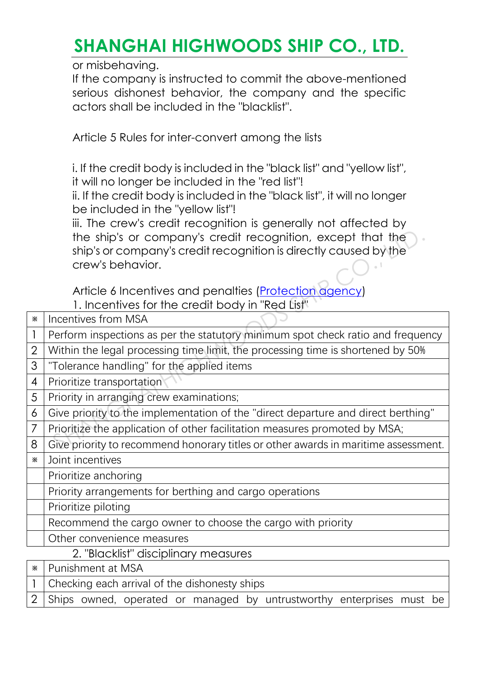or misbehaving.

If the company is instructed to commit the above-mentioned serious dishonest behavior, the company and the specific actors shall be included in the "blacklist".

Article 5 Rules for inter-convert among the lists

i. If the credit body is included in the "black list" and "yellow list", it will no longer be included in the "red list"!

ii. If the credit body is included in the "black list", it will no longer be included in the "yellow list"!

iii. The crew's credit recognition is generally not affected by the ship's or company's credit recognition, except that the ship's or company's credit recognition is directly caused by the crew's behavior.

|   | the ship's or company's credit recognition, except that the<br>ship's or company's credit recognition is directly caused by the |  |  |
|---|---------------------------------------------------------------------------------------------------------------------------------|--|--|
|   | crew's behavior.                                                                                                                |  |  |
|   |                                                                                                                                 |  |  |
|   | Article 6 Incentives and penalties (Protection agency)                                                                          |  |  |
|   | 1. Incentives for the credit body in "Red List"                                                                                 |  |  |
| × | Incentives from MSA                                                                                                             |  |  |
| 1 | Perform inspections as per the statutory minimum spot check ratio and frequency                                                 |  |  |
| 2 | Within the legal processing time limit, the processing time is shortened by 50%                                                 |  |  |
| 3 | "Tolerance handling" for the applied items                                                                                      |  |  |
| 4 | Prioritize transportation                                                                                                       |  |  |
| 5 | Priority in arranging crew examinations;                                                                                        |  |  |
| 6 | Give priority to the implementation of the "direct departure and direct berthing"                                               |  |  |
| 7 | Prioritize the application of other facilitation measures promoted by MSA;                                                      |  |  |
| 8 | Give priority to recommend honorary titles or other awards in maritime assessment.                                              |  |  |
| Ж | Joint incentives                                                                                                                |  |  |
|   | Prioritize anchoring                                                                                                            |  |  |
|   | Priority arrangements for berthing and cargo operations                                                                         |  |  |
|   | Prioritize piloting                                                                                                             |  |  |
|   | Recommend the cargo owner to choose the cargo with priority                                                                     |  |  |
|   | Other convenience measures                                                                                                      |  |  |
|   | 2. "Blacklist" disciplinary measures                                                                                            |  |  |
| × | Punishment at MSA                                                                                                               |  |  |
|   | Checking each arrival of the dishonesty ships                                                                                   |  |  |

2 Ships owned, operated or managed by untrustworthy enterprises must be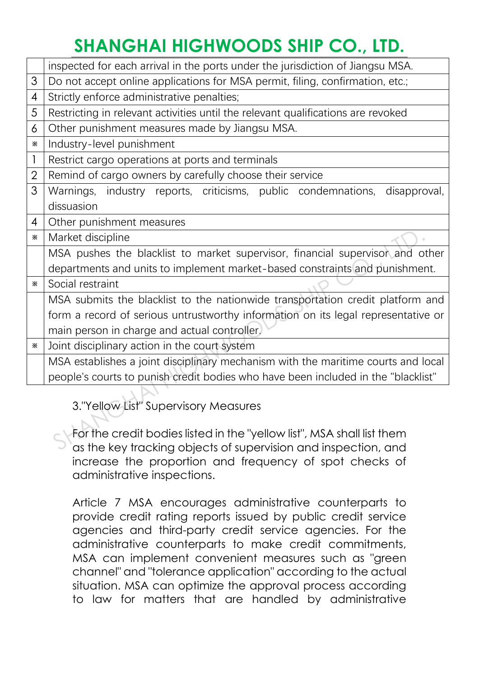|                | inspected for each arrival in the ports under the jurisdiction of Jiangsu MSA.                                                           |  |  |  |
|----------------|------------------------------------------------------------------------------------------------------------------------------------------|--|--|--|
| 3              | Do not accept online applications for MSA permit, filing, confirmation, etc.;                                                            |  |  |  |
| 4              | Strictly enforce administrative penalties;                                                                                               |  |  |  |
| 5              | Restricting in relevant activities until the relevant qualifications are revoked                                                         |  |  |  |
| 6              | Other punishment measures made by Jiangsu MSA.                                                                                           |  |  |  |
| ×              | Industry-level punishment                                                                                                                |  |  |  |
| 1              | Restrict cargo operations at ports and terminals                                                                                         |  |  |  |
| $\overline{2}$ | Remind of cargo owners by carefully choose their service                                                                                 |  |  |  |
| 3              | industry reports, criticisms, public condemnations, disapproval,<br>Warnings,                                                            |  |  |  |
|                | dissuasion                                                                                                                               |  |  |  |
| 4              | Other punishment measures                                                                                                                |  |  |  |
| ×              | Market discipline                                                                                                                        |  |  |  |
|                | MSA pushes the blacklist to market supervisor, financial supervisor and other                                                            |  |  |  |
|                | departments and units to implement market-based constraints and punishment.                                                              |  |  |  |
| ж              | Social restraint                                                                                                                         |  |  |  |
|                | MSA submits the blacklist to the nationwide transportation credit platform and                                                           |  |  |  |
|                | form a record of serious untrustworthy information on its legal representative or                                                        |  |  |  |
|                | main person in charge and actual controller.                                                                                             |  |  |  |
| ж              | Joint disciplinary action in the court system                                                                                            |  |  |  |
|                | MSA establishes a joint disciplinary mechanism with the maritime courts and local                                                        |  |  |  |
|                | people's courts to punish credit bodies who have been included in the "blacklist"                                                        |  |  |  |
|                |                                                                                                                                          |  |  |  |
|                | 3."Yellow List" Supervisory Measures                                                                                                     |  |  |  |
|                |                                                                                                                                          |  |  |  |
|                | For the credit bodies listed in the "yellow list", MSA shall list them<br>as the key tracking objects of supervision and inspection, and |  |  |  |
|                |                                                                                                                                          |  |  |  |

For the credit bodies listed in the "yellow list", MSA shall list them as the key tracking objects of supervision and inspection, and increase the proportion and frequency of spot checks of administrative inspections.

Article 7 MSA encourages administrative counterparts to provide credit rating reports issued by public credit service agencies and third-party credit service agencies. For the administrative counterparts to make credit commitments, MSA can implement convenient measures such as "green channel" and "tolerance application" according to the actual situation. MSA can optimize the approval process according to law for matters that are handled by administrative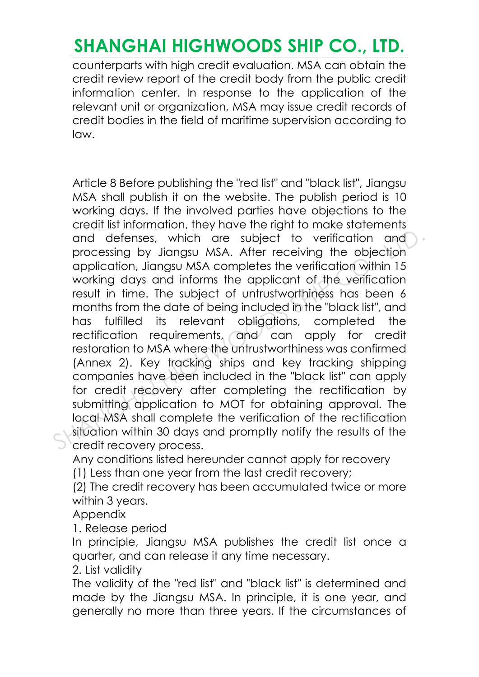counterparts with high credit evaluation. MSA can obtain the credit review report of the credit body from the public credit information center. In response to the application of the relevant unit or organization, MSA may issue credit records of credit bodies in the field of maritime supervision according to law.

Article 8 Before publishing the "red list" and "black list", Jiangsu MSA shall publish it on the website. The publish period is 10 working days. If the involved parties have objections to the credit list information, they have the right to make statements and defenses, which are subject to verification and processing by Jiangsu MSA. After receiving the objection application, Jiangsu MSA completes the verification within 15 working days and informs the applicant of the verification result in time. The subject of untrustworthiness has been 6 months from the date of being included in the "black list", and has fulfilled its relevant obligations, completed the rectification requirements, and can apply for credit restoration to MSA where the untrustworthiness was confirmed (Annex 2). Key tracking ships and key tracking shipping companies have been included in the "black list" can apply for credit recovery after completing the rectification by submitting application to MOT for obtaining approval. The local MSA shall complete the verification of the rectification situation within 30 days and promptly notify the results of the credit recovery process. and defenses, which are subject to verification and<br>processing by Jiangsu MSA. After receiving the objection<br>application, Jiangsu MSA completes the verification within 15<br>working days and informs the applicant of the verif

Any conditions listed hereunder cannot apply for recovery

(1) Less than one year from the last credit recovery;

(2) The credit recovery has been accumulated twice or more within 3 years.

Appendix

1. Release period

In principle, Jiangsu MSA publishes the credit list once a quarter, and can release it any time necessary.

2. List validity

The validity of the "red list" and "black list" is determined and made by the Jiangsu MSA. In principle, it is one year, and generally no more than three years. If the circumstances of